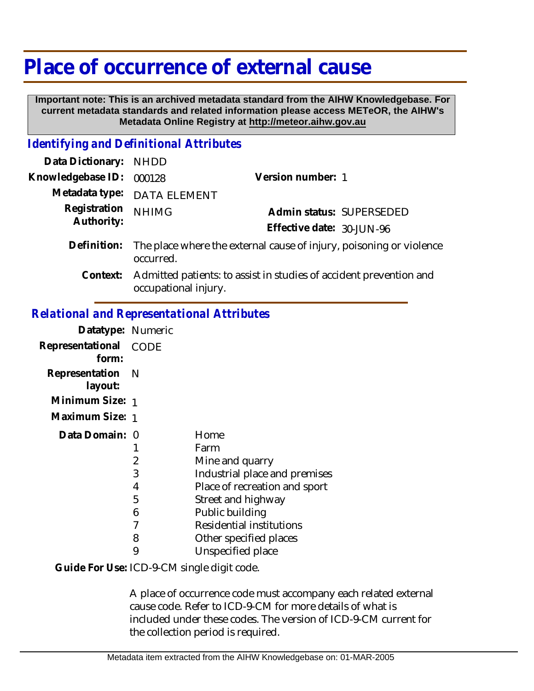## **Place of occurrence of external cause**

 **Important note: This is an archived metadata standard from the AIHW Knowledgebase. For current metadata standards and related information please access METeOR, the AIHW's Metadata Online Registry at http://meteor.aihw.gov.au**

## *Identifying and Definitional Attributes*

| Data Dictionary: NHDD      |                                                                                            |                           |                          |
|----------------------------|--------------------------------------------------------------------------------------------|---------------------------|--------------------------|
| Knowledgebase ID:          | 000128                                                                                     | Version number: 1         |                          |
|                            | Metadata type: DATA ELEMENT                                                                |                           |                          |
| Registration<br>Authority: | <b>NHIMG</b>                                                                               |                           | Admin status: SUPERSEDED |
|                            |                                                                                            | Effective date: 30-JUN-96 |                          |
| Definition:                | The place where the external cause of injury, poisoning or violence<br>occurred.           |                           |                          |
| Context:                   | Admitted patients: to assist in studies of accident prevention and<br>occupational injury. |                           |                          |

## *Relational and Representational Attributes*

| Datatype: Numeric           |             |                               |
|-----------------------------|-------------|-------------------------------|
| Representational<br>form:   | <b>CODE</b> |                               |
| Representation N<br>layout: |             |                               |
| Minimum Size: 1             |             |                               |
| Maximum Size: 1             |             |                               |
| Data Domain: 0              |             | Home                          |
|                             |             | Farm                          |
|                             | 2           | Mine and quarry               |
|                             | 3           | Industrial place and premises |
|                             | 4           | Place of recreation and sport |
|                             | 5           | Street and highway            |
|                             | 6           | Public building               |
|                             |             | Residential institutions      |
|                             | 8           | Other specified places        |
|                             | 9           | Unspecified place             |
|                             |             |                               |

Guide For Use: ICD-9-CM single digit code.

A place of occurrence code must accompany each related external cause code. Refer to ICD-9-CM for more details of what is included under these codes. The version of ICD-9-CM current for the collection period is required.